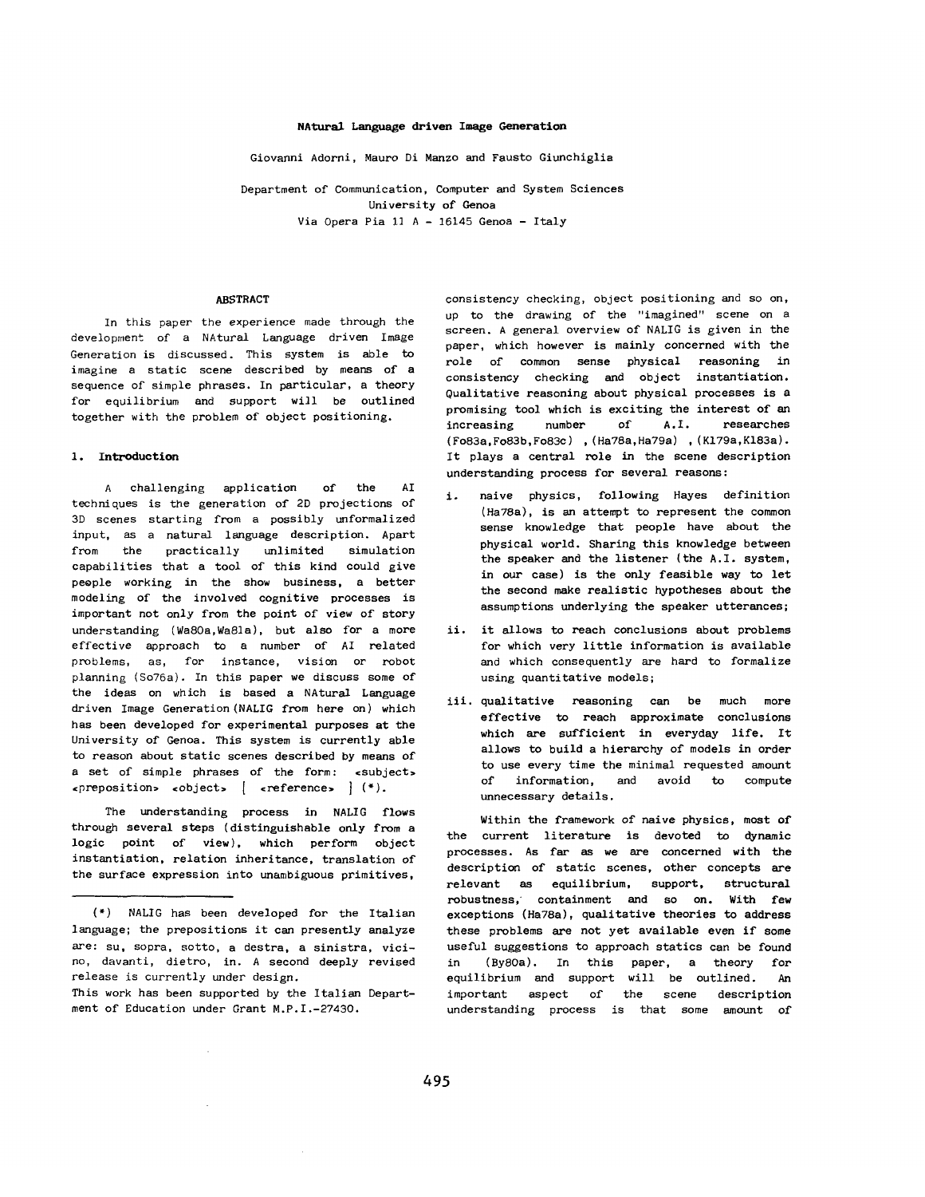### NAtural Language driven Image Generation

Giovanni Adorni, Mauro Di Manzo and Fausto Giunchiglis

Department of Communication, Computer and System Sciences University of Genoa Via Opera Pia i] A - 16145 Genoa - Italy

#### ABSTRACT

In this paper the experience made through the development of a NAtural Language driven Image Generation is discussed. This system is able to imagine a static scene described by means of a sequence of simple phrases. In particular, a theory for equilibrium and support will be outlined together with the problem of object positioning.

### 1. Introduction

A challenging application of the AI techniques is the generation of 2D projections of 3D scenes starting from a possibly unformalized input, as a natural language description. Apart from the practically unlimited simulation capabilities that a tool of this kind could give people working in the show business, a better modeling of the involved cognitive processes is important not only from the point of view of story understanding (Wa8Oa,Wa81a), but also for a more effective approach to a number of AI related problems, as, for instance, vision or robot planning (So76a). In this paper we discuss some of the ideas on which is based a NAtural Language driven Image Generation (NALIG from here on) which has been developed for experimental purposes at the University of Genoa. This system is currently able to reason about static scenes described by means of a set of simple phrases of the form: «subject» ~preposition~ cobject, [ creference~ ] (\*).

The understanding process in NALIG flows through several steps (distinguishable only from a logic point of view), which perform object instantiation, *relation* inheritance, translation of the surface expression *into* unambiguous primitives,

(\*) NALIG has been developed for the Italian language; the prepositions it can presently analyze are: su, sopra, sotto, a destra, a sinistra, vicino, davanti, dietro, in. A second deeply revised release is currently under design. This work has been supported by the Italian Department of Education under Grant M.P.I.-27430.

consistency checking, object positioning and so on, up to the drawing of the "imagined" scene on a screen. A general overview of NALIG is given in the paper, which however is mainly concerned with the role of common sense physical reasoning in consistency checking and object instantiation. Qualitative reasoning about physical processes is a promising tool which is exciting the interest of an increasing number of A.I. researches (Fo83a,Fo83b,Fo83c) , (Ha78a,Ha79a) , (K179a,K183a). It plays a central role in the scene description understanding process for several reasons:

- i. naive physics, following Hayes definition (Ha78a), is an attempt to represent the common sense knowledge that people have about the physical world. Sharing this knowledge between the speaker and the listener (the A.I. system, in our case) is the only feasible way to let the second make realistic hypotheses about the assumptions underlying the speaker utterances;
- ii. it allows to reach conclusions about problems for which very little information is available and which consequently are hard to formalize using quantitative models;
- iii. qualitative reasoning can be much more effective to reach approximate conclusions which are sufficient in everyday life. It allows to build a hierarchy of models in order to use every time the minimal requested amount of information, and avoid to compute unnecessary details.

Within the framework of naive physics, most of the current literature is devoted to dynamic processes. As far as we are concerned with the description of static scenes, other concepts are relevant as equilibrium, support, structural robustness, containment and so on. With few exceptions (Ha78a), qualitative theories to address these problems are not yet available even if some useful suggestions to approach statics can be found in (By8Oa). In this paper, a theory for equilibrium and support will be outlined. An important aspect of the scene description understanding process is that some amount of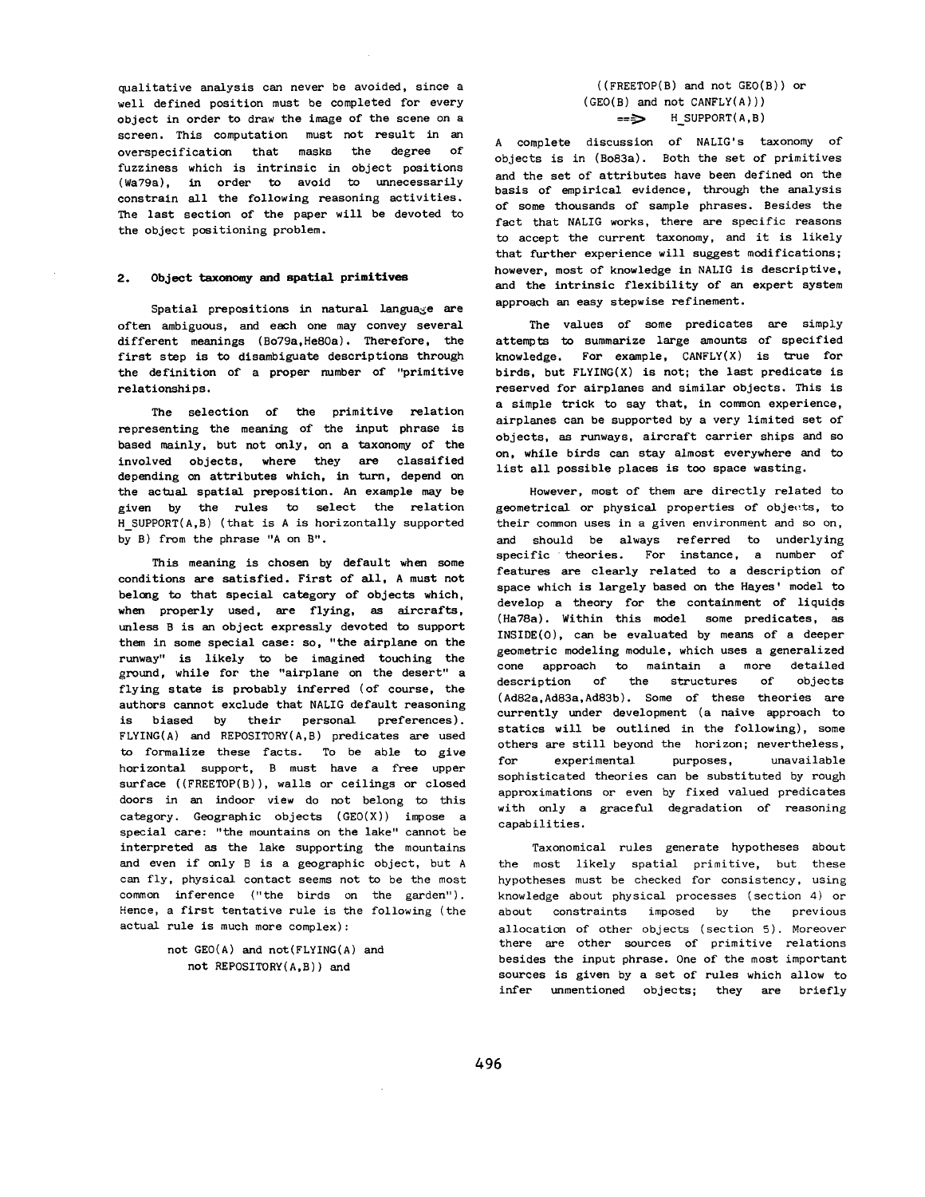qualitative analysis can never be avoided, since a well defined position must be completed for every object in order to draw the image of the scene on a screen. This computation must not result in an overspecification that masks the degree of fuzziness which is intrinsic in object positions (Wa79s), in order to avoid to unnecessarily constrain all the following reasoning activities. The last section of the paper will be devoted to the object positioning problem.

### 2. Object taxonomy and spatial primitives

Spatial prepositions in natural language are often ambiguous, and each one may convey several different meanings (Bo79a,He80a). Therefore, the first step is to disambiguate descriptions through the definition of a proper number of "primitive relationships.

The selection of the primitive relation representing the meaning of the input phrase is based mainly, but not only, on a taxonomy of the involved objects, where they are classified depending on attributes which, in turn, depend on the actual spatial preposition. An example may be given by the rules to select the relation H SUPPORT(A,B) (that is A is horizontally supported by B) from the phrase "A on B".

This meaning is chosen by default when some conditions are satisfied. First of all, A must not belong to that special category of objects which, when properly used, are flying, as aircrafts, unless B is an object expressly devoted to support them in some special case: so, "the airplane on the runway" is likely to be imagined touching the ground, while for the "airplane on the desert" a flying state is probably inferred (of course, the authors cannot exclude that NALIG default reasoning is biased by their personal preferences). FLYING(A) and REPOSITORY(A,B) predicates are used to formalize these facts. To be able to give horizontal support, B must have a free upper surface ((FREETOP(B)), walls or ceilings or closed doors in an indoor view do not belong to this category. Geographic objects (GEO(X)) impose a special care: "the mountains on the lake" cannot be interpreted as the lake supporting the mountains and even if only B is a geographic object, but A can fly, physical contact seems not to be the most common inference ("the birds on the garden"). Hence, a first tentative rule is the following (the actual rule is much more complex):

> not GEO(A) and not(FLYING(A) and not REPOSITORY(A,B)) and

# ((FREETOP(B) and not GEO(B)) or (GEO(B) and not CANFLY(A))) **==>** H\_SUPPORT(A,B)

A complete discussion of NALIG's taxonomy of objects is in (Bo83a). Both the set of primitives and the set of attributes have been defined on the basis of empirical evidence, through the analysis of some thousands of sample phrases. Besides the fact that NALIG works, there are specific reasons to accept the current taxonomy, and it is likely that further experience will suggest modifications; however, most of knowledge in NALIG is descriptive, and the intrinsic flexibility of an expert system approach an easy stepwise refinement.

The values of some predicates are simply attempts to summarize large amounts of specified knowledge. For example, CANFLY(X) is true for birds, but  $FLYING(X)$  is not; the last predicate is reserved for airplanes and similar objects. This is a simple trick to say that, in common experience, airplanes can be supported by a very limited set of objects, as runways, aircraft carrier ships and so on, while birds can stay almost everywhere and to list all possible places is too space wasting.

However, most of them are directly related to geometrical or physical properties of objects, to their common uses in a given environment and so on, and should be always referred to underlying specific theories. For instance, a number of features are clearly related to a description of space which is largely based on the Hayes' model to develop a theory for the containment of liquids (Ha78a). Within this model some predicates, as INSIDE(O), can be evaluated by means of a deeper geometric modeling module, which uses a generalized cone approach to maintain a more detailed description of the structures of objects *(Ad82a,Ad83a,Ad83b).* Some of these theories are currently under development (a naive approach to statics will be outlined in the following), some others are still beyond the horizon; nevertheless, for experimental purposes, unavailable sophisticated theories can be substituted by rough approximations or even by fixed valued predicates with only a graceful degradation of reasoning capabilities.

Taxonomical rules generate hypotheses about the most likely spatial primitive, but these hypotheses must be checked for consistency, using knowledge about physical processes (section 4) or about constraints imposed by the previous allocation of other objects (section 5). Moreover there are other sources of primitive relations besides the input phrase. One of the most important sources is given by a set of rules which allow to infer unmentioned objects; they are briefly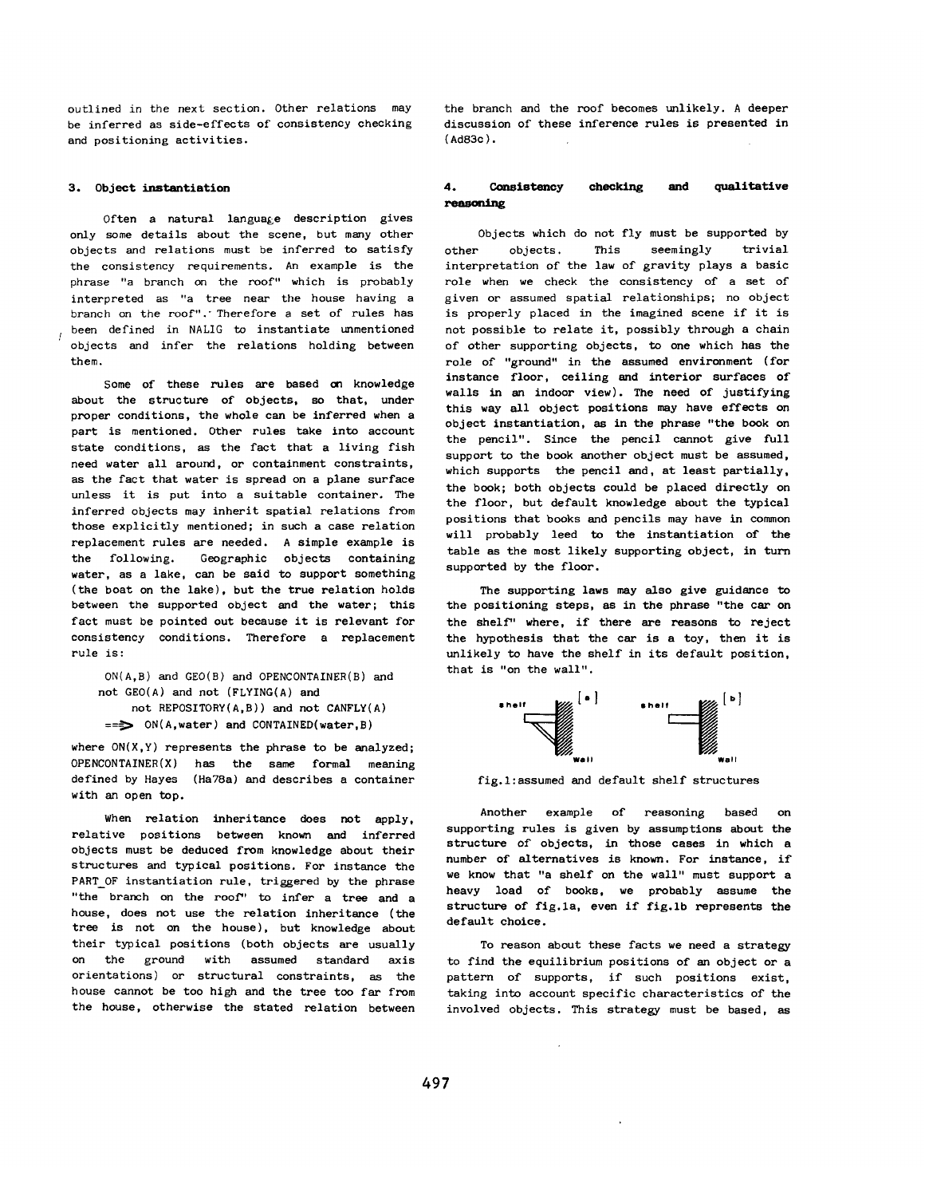outlined in the next section. Other relations may be inferred as side-effects of consistency checking and positioning activities.

### 3. Object **instantiation**

Often a natural language description gives only some details about the scene, but many other objects and relations must be inferred to satisfy the consistency requirements. An example is the phrase "a branch on the roof" which is probably interpreted as "a tree near the house having a branch on the roof"." Therefore a set of rules has been defined in NALIG to instantiate unmentioned objects and infer the relations holding between them.

Some of these rules are based on knowledge about the structure of objects, so that, under proper conditions, the whole can be inferred when a part is mentioned. Other rules take into account state conditions, as the fact that a living fish need water all around, or containment constraints, as the fact that water is spread on a plane surface unless it is put into a suitable container. The inferred objects may inherit *spatial* relations from those explicitly mentioned; in such a case relation replacement rules are needed. A simple example is the following. Geographic objects containing water, as a lake, can be said to support something (the boat on the lake), but the *true* relation holds between the supported object end the water; this fact must be pointed out because it is relevant for consistency conditions. Therefore a replacement rule is :

ON(A,B) and GEO(B) and OPENCONTAINER(B) and not GEO(A) and not (FLYING(A) and not REPOSITORY(A,B)) and not CANFLY(A)  $==$  ON(A,water) and CONTAINED(water, B)

where  $ON(X, Y)$  represents the phrase to be analyzed;  $OPENCONTAINER(X)$  has the same formal meaning defined by Hayes (Ha78a) and describes a container with an open top.

When relation inheritance does not apply, relative positions between known and inferred objects must be deduced from knowledge about their structures and typical positions. For instance the PART OF instantiation rule, triggered by the phrase "the branch on the roof" to infer a tree and a house, does not use the relation inheritance (the tree is not on the house), but knowledge about their typical positions (both objects are usually on the ground with assumed standard axis orientations) or structural constraints, as the house cannot be too high and the tree too far from the house, otherwise the stated relation between

the branch and the roof becomes unlikely. A deeper discussion of these inference rules is presented in (Ad83c).

## **4. Consistency** checking and qualitative reasoning

Objects which do not fly must be supported by other objects. This seemingly trivial interpretation of the law of gravity plays a basic role when we check the consistency of a set of given or assumed spatial relationships; no object is properly placed in the imagined scene if it is not possible to relate it, possibly through a chain of other supporting objects, to one which has the role of "ground" in the assumed environment (for instance floor, ceiling and interior surfaces of walls in an indoor view). The need of justifying this way all object positions may have effects on object instantiation, as in the phrase "the book on the pencil". Since the pencil cannot give full support to the book another object must be assumed, which supports the pencil and, at least partially, the book; both objects could be placed directly on the floor, but default knowledge about the typical positions that books and pencils may have in common will probably leed to the instantiation of the table as the most likely supporting object, in turn supported by the floor.

The supporting laws may also give guidance to the positioning steps, as in the phrase "the car on the shelf" where, if there are reasons to reject the hypothesis that the car is a toy, then it is unlikely to have the shelf in its default position, that is "on the wall".



fig. l:assumed and default shelf structures

Another example of reasoning based on supporting rules is given by assumptions about the structure of objects, in those cases in which a number of alternatives is known. For instance, if we know that "a shelf on the wall" must support a heavy load of books, we probably assume the structure of fig.la, even if fig.lb represents the default choice.

To reason about these facts we need a strategy to find the equilibrium positions of an object or a pattern of supports, if such positions exist, taking into account specific characteristics of the involved objects. This strategy must be based, as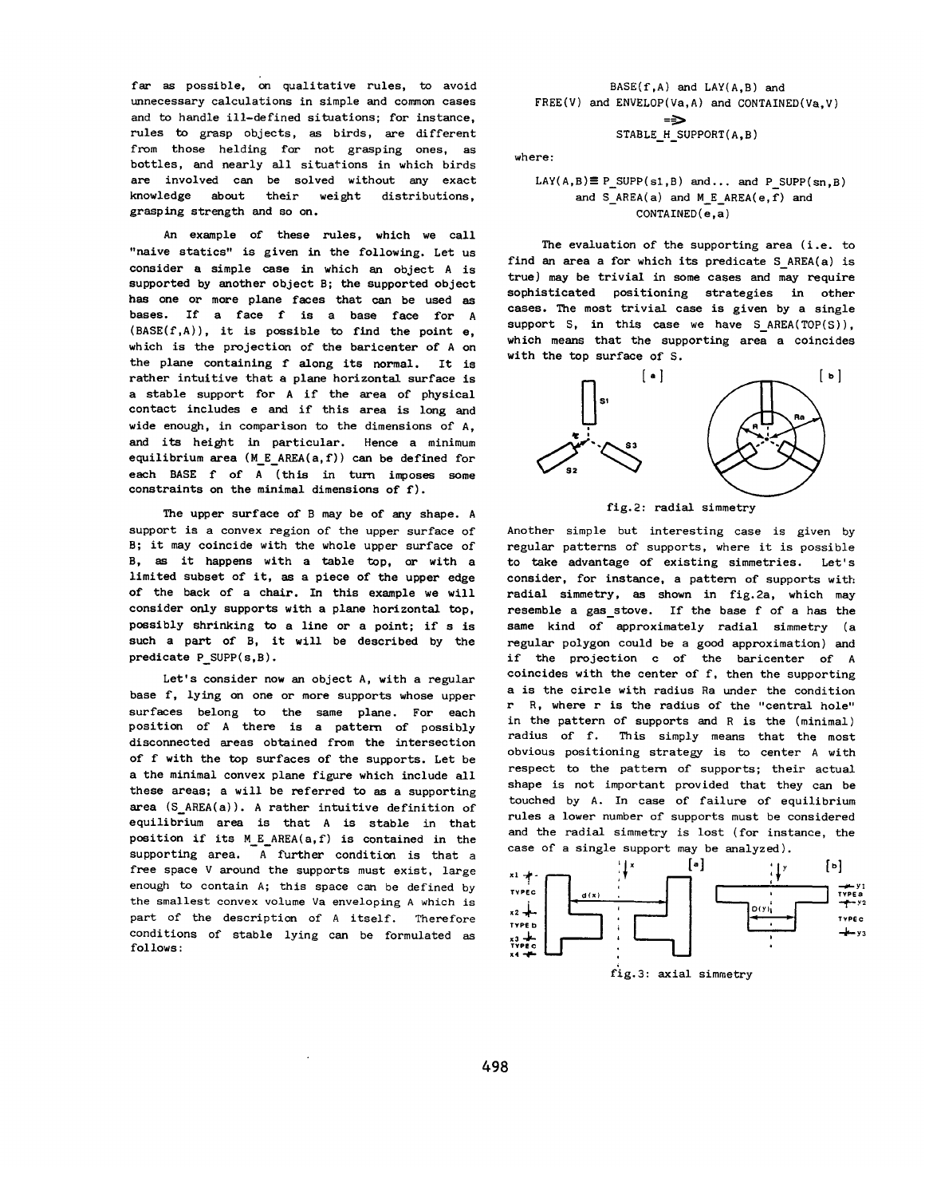far as possible, on qualitative rules, to avoid unnecessary calculations in simple and common cases and to handle ill-defined situations; for instance, rules to grasp objects, as birds, are different from those helding for not grasping ones, as bottles, and nearly all situations in which birds are involved can be solved without any exact knowledge about their weight distributions, grasping strength and so on.

An example of these rules, which we call "naive statics" is given in the following. Let us consider a simple case in which an object A is supported by another object B; the supported object has one or more plane faces that can be used as bases. If a face f is a base face for A  $(BASE(f,A))$ , it is possible to find the point e, which is the projection of the barlcenter of A on the plane containing f along its normal. It is rather intuitive that a plane horizontal surface is a stable support for A if the area of physical contact includes e and if this area is long and wide enough, in comparison to the dimensions of A, and its height in particular. Hence a minimum equilibrium area (M\_E\_AREA(a,f)) can be defined for each BASE f of A (this in turn imposes some constraints on the minimal dimensions of f).

The upper surface of B may be of any shape. A support is a convex region of the upper surface of B; it may coincide with the whole upper surface of B, as it happens with a table top, or with a limited subset of it, as a piece of the upper edge of the back of a chair. In this example we will consider only supports with a plane horizontal top, possibly shrinking to a line or a point; if s is such a part of B, it will be described by the predicate P\_SUPP(s,B).

Let's consider now an object A, with a regular base f, lying on one or more supports whose upper surfaces belong to the same plane. For each position of A there is a pattern of possibly disconnected areas obtained from the intersection of f with the top surfaces of the supports. Let be a the minimal convex plane figure which include all these areas; a will be referred to as a supporting area (S\_AREA(a)). A rather intuitive definition of equilibrium area is that A is stable in *that*  position if its M\_E\_AREA(a,f) is contained in the supporting area. A further condition is that a free space V around the supports must exist, large enough to contain A; this space can be defined by the smallest convex volume Va enveloping A which is part of the description of A itself. Therefore conditions of stable lying can be formulated as follows:

 $BASE(f, A)$  and  $LAY(A, B)$  and FREE(V) and ENVELOP(Va,A) and CONTAINED(Va,V) =9 STABLE\_H\_SUPPORT(A,B)

## where:

# $LAY(A, B) \equiv P$  SUPP(s1,B) and... and P SUPP(sn,B) and S  $AREA(a)$  and M E  $AREA(e,f)$  and CONTAINED(e,a)

The evaluation of the supporting area (i.e. to find an area a for which its predicate S AREA(a) is *true)* may be trivial in some cases and may require sophisticated positioning strategies in other cases. The most trivial case is given by a single support S, in this case we have S AREA(TOP(S)), which means that the supporting area a coincides with the top surface of S.



fig.2: radial simmetry

Another simple but interesting case is given by regular patterns of supports, where it is possible to take advantage of existing simmetries. Let's consider, for instance, a pattern of supports with radial simmetry, as shown in fig. 2a, which may resemble a gas stove. If the base f of a has the same kind of approximately radial simmetry (a regular polygon could be a good approximation) and if the projection c of the baricenter of A coincides with the center of f, then the supporting a is the circle with radius Ra under the condition r R, where r is the radius of the "central hole" in the pattern of supports and R is the (minimal) radius of f. This simply means that the most obvious positioning strategy is to center A with respect to the pattern of supports; their actual shape is not important provided that they can be touched by A. In case of failure of equilibrium rules a lower number of supports must be considered and the radial simmetry is lost (for instance, the case of a single support may be analyzed).



fig.3: axial simmetry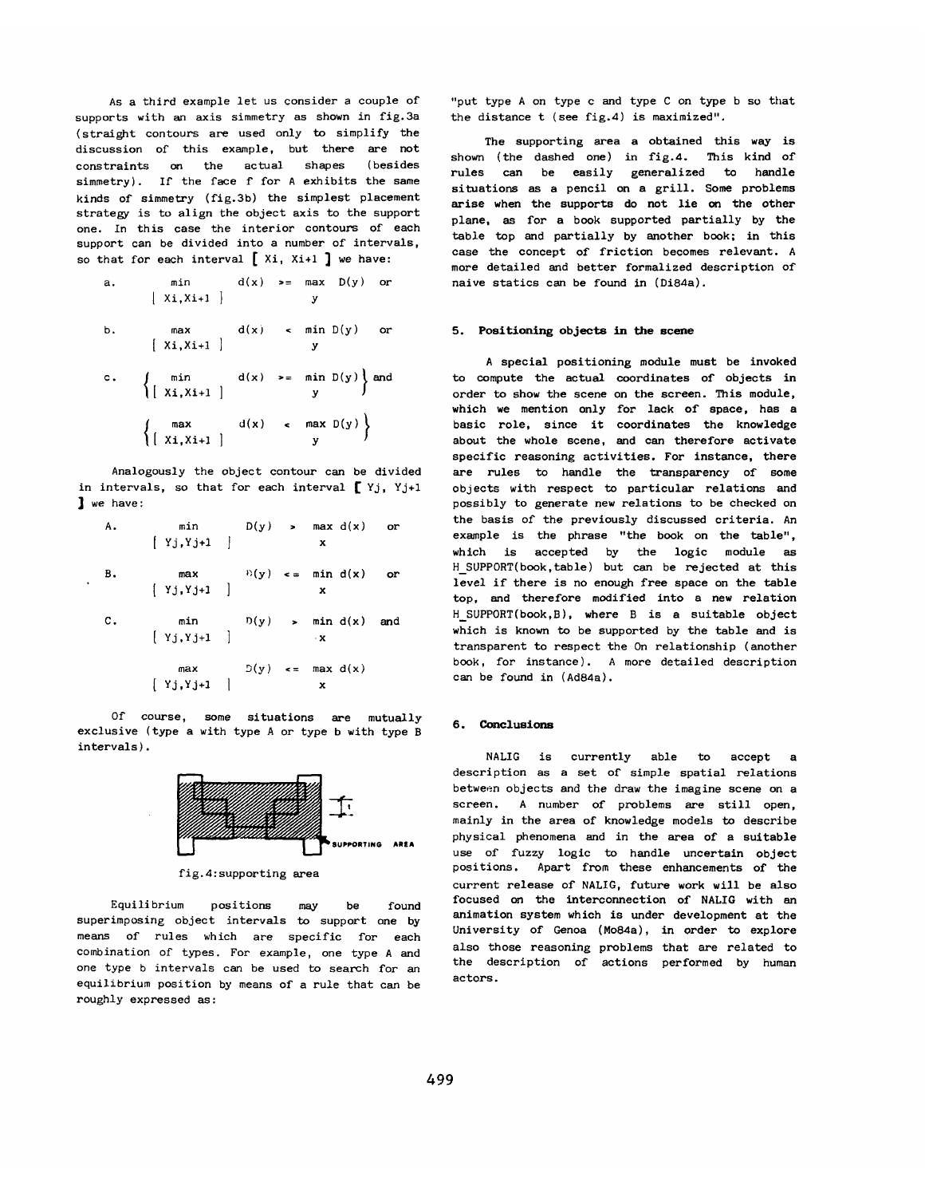AS a third example let us consider a couple of supports with an axis simmetry as shown in fig.3a (straight contours are used only to simplify the discussion of this example, but there are not constraints on the actual shapes (besides simmetry). If the face f for A exhibits the same kinds of simmetry (fig.3b) the simplest placement strategy is to align the object axis to the support one. In this case the interior contours of each support can be divided into a number of intervals, so that for each interval  $[$  Xi, Xi+1  $]$  we have:

a. 
$$
\min \quad d(x) \quad \text{se} \quad \max \quad D(y) \quad \text{or}
$$
\n
$$
\left[ x, x + 1 \right] \quad y
$$
\nb. 
$$
\max \quad d(x) \quad \text{se} \quad \min \quad D(y) \quad \text{or}
$$
\n
$$
\left[ x, x + 1 \right] \quad y
$$
\nc. 
$$
\left\{ \min \quad d(x) \quad \text{se} \quad \min \quad D(y) \right\} \text{and}
$$
\n
$$
\left\{ \left[ x, x + 1 \right] \quad y \right\}
$$
\n
$$
\left\{ \left[ x, x + 1 \right] \quad y \right\}
$$

Analogously the object contour can be divided in intervals, so that for each interval  $[\;Yj, Yj+1]$ **1** we have:

| Α. | min $D(y)$ > max $d(x)$ or<br>$[$ Yj, Yj+1 $]$                                                              |  | x |    |
|----|-------------------------------------------------------------------------------------------------------------|--|---|----|
| в. | max $P(y) \leq x$ min d(x)<br>$\begin{cases} Yj, Yj+1 \end{cases}$ x                                        |  |   | or |
| с. | min $D(y)$ > min d(x) and<br>[Yj,Yj+1 ] x                                                                   |  |   |    |
|    | $\text{max} \qquad \qquad \mathbb{D}(y) \quad \text{<=} \quad \text{max} \;\; \mathbf{d(x)}$<br>$[Yj,Yj+1]$ |  | x |    |

Of course, some situations are mutually exclusive (type a with type A or type b with type B intervals).



fig.4:supporting area

Equilibrium positions may be found superimposing object intervals to support one by means of rules which are specific for each combination of types. For example, one type A and one type b intervals can be used to search for an equilibrium position by means of a rule that can be roughly expressed as:

"put type A on type c and type C on type b so that the distance t (see fig.4) is maximized".

The supporting area a obtained this way is shown (the dashed one) in fig.4. This kind of rules can be easily generalized to handle situations as a pencil on a grill. Some problems arise when the supports do not lie on the other plane, as for a book supported partially by the table top and partially by another book; in this case the concept of friction becomes *relevant. A*  more detailed and better formalized description of naive statics can be found in (Di84a).

### **5. Positioning objects in the scene**

A special positioning module must be invoked to compute the actual coordinates of objects in order to show the scene on the screen. This module, which we mention only for lack of space, has a basic role, since it coordinates the knowledge about the whole scene, and can therefore activate specific reasoning activities. For instance, there are rules to handle the transparency of some objects with respect to particular relations and possibly to generate new relations to be checked on the basis of the previously discussed criteria. An example is the phrase "the book on the table", which is accepted by the logic module as H\_SUPPORT(book,table) but can be rejected at this level if there is no enough free space on the table top, and therefore modified into a new relation H\_SUPPORT(book,B), where B is a suitable object which is known to be supported by the table and is transparent to respect the On relationship (another book, for instance). A more detailed description can be found in (Ad84a).

### **6. Conclusions**

NALIG is currently able to accept a description as a set of simple spatial relations between objects and the draw the imagine scene on a screen. A number of problems are still open, mainly in the area of knowledge models to describe physical phenomena and in the area of a suitable use of fuzzy logic to handle uncertain object positions. Apart from these enhancements of the current release of NALIG, future work will be also focused on the interconnection of NALIG with an animation system which is under development at the University of Genoa (Mo84a), in order to explore also those reasoning problems that are related to the description of actions performed by human actors.